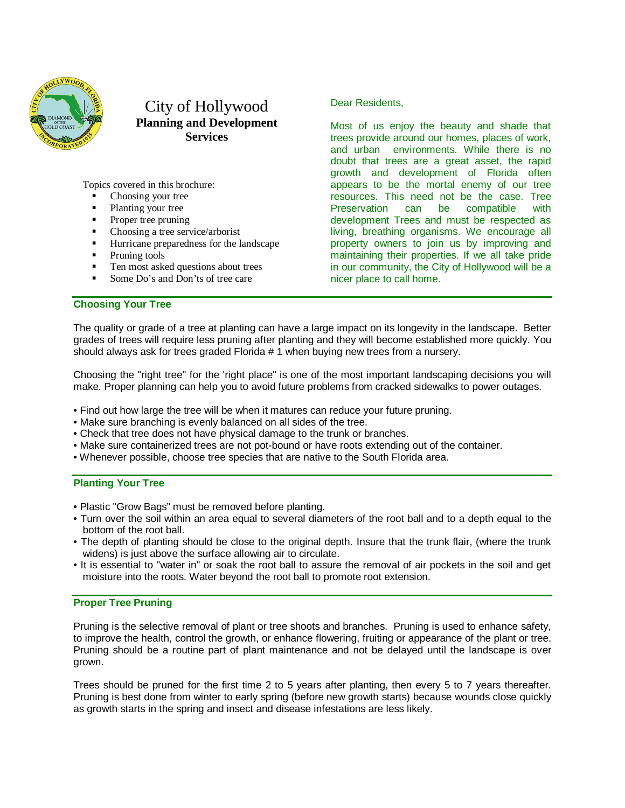

# City of Hollywood **Planning and Development Services**

Topics covered in this brochure:

- Choosing your tree
- Planting your tree
- Proper tree pruning
- Choosing a tree service/arborist
- Hurricane preparedness for the landscape
- Pruning tools
- Ten most asked questions about trees
- Some Do's and Don'ts of tree care

**Choosing Your Tree**

Dear Residents,

Most of us enjoy the beauty and shade that trees provide around our homes, places of work, and urban environments. While there is no doubt that trees are a great asset, the rapid growth and development of Florida often appears to be the mortal enemy of our tree resources. This need not be the case. Tree Preservation can be compatible with development Trees and must be respected as living, breathing organisms. We encourage all property owners to join us by improving and maintaining their properties. If we all take pride in our community, the City of Hollywood will be a nicer place to call home.

The quality or grade of a tree at planting can have a large impact on its longevity in the landscape. Better grades of trees will require less pruning after planting and they will become established more quickly. You should always ask for trees graded Florida # 1 when buying new trees from a nursery.

Choosing the "right tree" for the 'right place" is one of the most important landscaping decisions you will make. Proper planning can help you to avoid future problems from cracked sidewalks to power outages.

- Find out how large the tree will be when it matures can reduce your future pruning.
- Make sure branching is evenly balanced on all sides of the tree.
- Check that tree does not have physical damage to the trunk or branches.
- Make sure containerized trees are not pot-bound or have roots extending out of the container.
- Whenever possible, choose tree species that are native to the South Florida area.

## **Planting Your Tree**

- Plastic "Grow Bags" must be removed before planting.
- Turn over the soil within an area equal to several diameters of the root ball and to a depth equal to the bottom of the root ball.
- The depth of planting should be close to the original depth. Insure that the trunk flair, (where the trunk widens) is just above the surface allowing air to circulate.
- It is essential to "water in" or soak the root ball to assure the removal of air pockets in the soil and get moisture into the roots. Water beyond the root ball to promote root extension.

## **Proper Tree Pruning**

Pruning is the selective removal of plant or tree shoots and branches. Pruning is used to enhance safety, to improve the health, control the growth, or enhance flowering, fruiting or appearance of the plant or tree. Pruning should be a routine part of plant maintenance and not be delayed until the landscape is over grown.

Trees should be pruned for the first time 2 to 5 years after planting, then every 5 to 7 years thereafter. Pruning is best done from winter to early spring (before new growth starts) because wounds close quickly as growth starts in the spring and insect and disease infestations are less likely.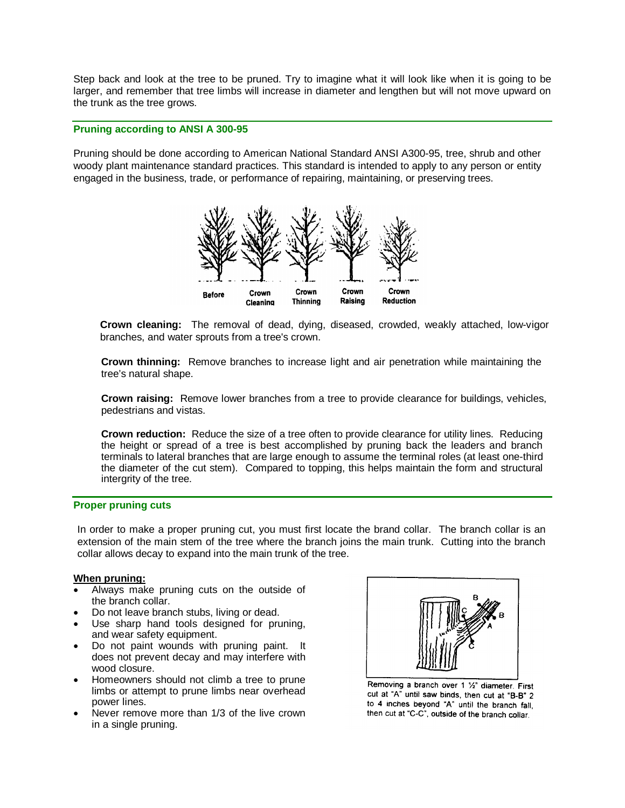Step back and look at the tree to be pruned. Try to imagine what it will look like when it is going to be larger, and remember that tree limbs will increase in diameter and lengthen but will not move upward on the trunk as the tree grows.

# **Pruning according to ANSI A 300-95**

Pruning should be done according to American National Standard ANSI A300-95, tree, shrub and other woody plant maintenance standard practices. This standard is intended to apply to any person or entity engaged in the business, trade, or performance of repairing, maintaining, or preserving trees.



**Crown cleaning:** The removal of dead, dying, diseased, crowded, weakly attached, low-vigor branches, and water sprouts from a tree's crown.

**Crown thinning:** Remove branches to increase light and air penetration while maintaining the tree's natural shape.

**Crown raising:** Remove lower branches from a tree to provide clearance for buildings, vehicles, pedestrians and vistas.

**Crown reduction:** Reduce the size of a tree often to provide clearance for utility lines. Reducing the height or spread of a tree is best accomplished by pruning back the leaders and branch terminals to lateral branches that are large enough to assume the terminal roles (at least one-third the diameter of the cut stem). Compared to topping, this helps maintain the form and structural intergrity of the tree.

# **Proper pruning cuts**

In order to make a proper pruning cut, you must first locate the brand collar. The branch collar is an extension of the main stem of the tree where the branch joins the main trunk. Cutting into the branch collar allows decay to expand into the main trunk of the tree.

#### **When pruning:**

- Always make pruning cuts on the outside of the branch collar.
- Do not leave branch stubs, living or dead.
- Use sharp hand tools designed for pruning, and wear safety equipment.
- Do not paint wounds with pruning paint. It does not prevent decay and may interfere with wood closure.
- Homeowners should not climb a tree to prune limbs or attempt to prune limbs near overhead power lines.
- Never remove more than 1/3 of the live crown in a single pruning.



Removing a branch over 1 1/2" diameter. First cut at "A" until saw binds, then cut at "B-B" 2 to 4 inches beyond "A" until the branch fall, then cut at "C-C", outside of the branch collar.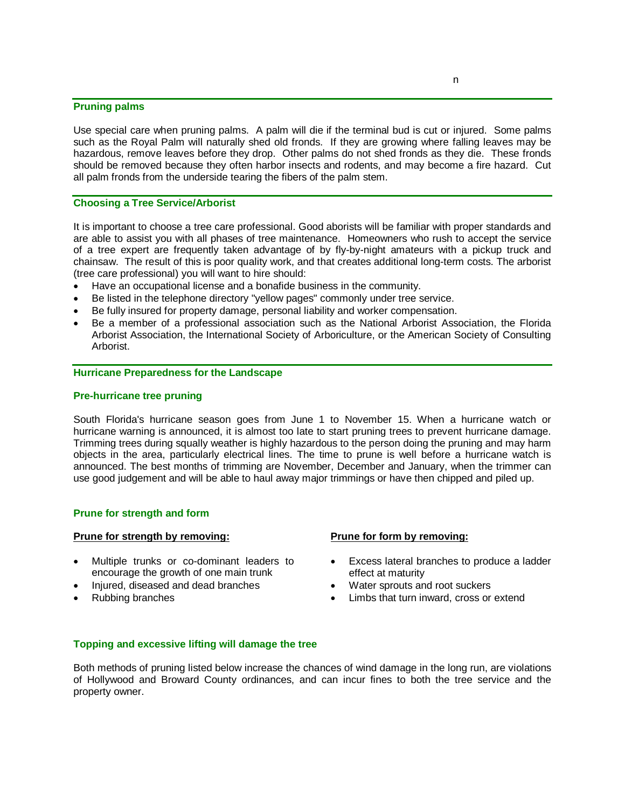### **Pruning palms**

Use special care when pruning palms. A palm will die if the terminal bud is cut or injured. Some palms such as the Royal Palm will naturally shed old fronds. If they are growing where falling leaves may be hazardous, remove leaves before they drop. Other palms do not shed fronds as they die. These fronds should be removed because they often harbor insects and rodents, and may become a fire hazard. Cut all palm fronds from the underside tearing the fibers of the palm stem.

### **Choosing a Tree Service/Arborist**

It is important to choose a tree care professional. Good aborists will be familiar with proper standards and are able to assist you with all phases of tree maintenance. Homeowners who rush to accept the service of a tree expert are frequently taken advantage of by fly-by-night amateurs with a pickup truck and chainsaw. The result of this is poor quality work, and that creates additional long-term costs. The arborist (tree care professional) you will want to hire should:

- Have an occupational license and a bonafide business in the community.
- Be listed in the telephone directory "yellow pages" commonly under tree service.
- Be fully insured for property damage, personal liability and worker compensation.
- Be a member of a professional association such as the National Arborist Association, the Florida Arborist Association, the International Society of Arboriculture, or the American Society of Consulting Arborist.

### **Hurricane Preparedness for the Landscape**

#### **Pre-hurricane tree pruning**

South Florida's hurricane season goes from June 1 to November 15. When a hurricane watch or hurricane warning is announced, it is almost too late to start pruning trees to prevent hurricane damage. Trimming trees during squally weather is highly hazardous to the person doing the pruning and may harm objects in the area, particularly electrical lines. The time to prune is well before a hurricane watch is announced. The best months of trimming are November, December and January, when the trimmer can use good judgement and will be able to haul away major trimmings or have then chipped and piled up.

## **Prune for strength and form**

#### **Prune for strength by removing:**

- Multiple trunks or co-dominant leaders to encourage the growth of one main trunk
- Injured, diseased and dead branches
- Rubbing branches

#### **Prune for form by removing:**

- Excess lateral branches to produce a ladder effect at maturity
- Water sprouts and root suckers
- Limbs that turn inward, cross or extend

### **Topping and excessive lifting will damage the tree**

Both methods of pruning listed below increase the chances of wind damage in the long run, are violations of Hollywood and Broward County ordinances, and can incur fines to both the tree service and the property owner.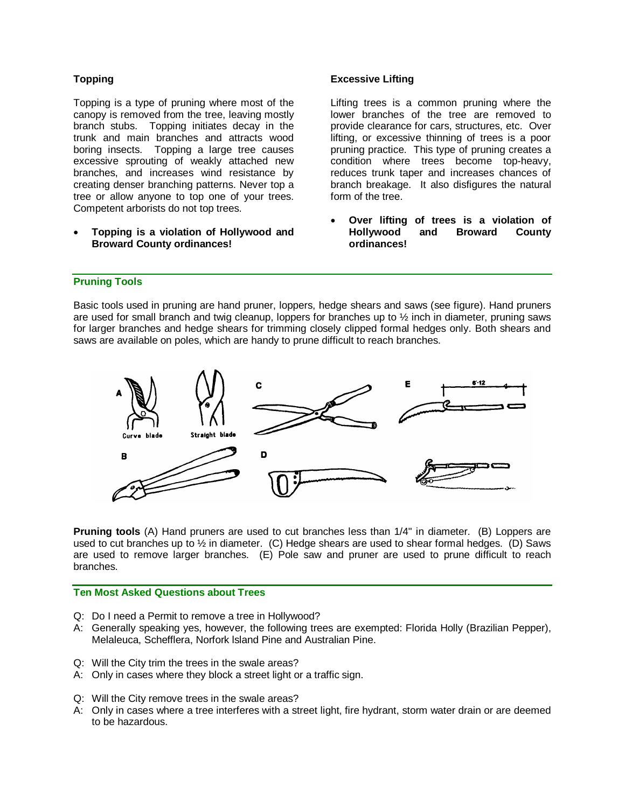# **Topping**

Topping is a type of pruning where most of the canopy is removed from the tree, leaving mostly branch stubs. Topping initiates decay in the trunk and main branches and attracts wood boring insects. Topping a large tree causes excessive sprouting of weakly attached new branches, and increases wind resistance by creating denser branching patterns. Never top a tree or allow anyone to top one of your trees. Competent arborists do not top trees.

• **Topping is a violation of Hollywood and Broward County ordinances!**

# **Excessive Lifting**

Lifting trees is a common pruning where the lower branches of the tree are removed to provide clearance for cars, structures, etc. Over lifting, or excessive thinning of trees is a poor pruning practice. This type of pruning creates a condition where trees become top-heavy, reduces trunk taper and increases chances of branch breakage. It also disfigures the natural form of the tree.

• **Over lifting of trees is a violation of Hollywood and Broward County ordinances!**

# **Pruning Tools**

Basic tools used in pruning are hand pruner, loppers, hedge shears and saws (see figure). Hand pruners are used for small branch and twig cleanup, loppers for branches up to  $\frac{1}{2}$  inch in diameter, pruning saws for larger branches and hedge shears for trimming closely clipped formal hedges only. Both shears and saws are available on poles, which are handy to prune difficult to reach branches.



**Pruning tools** (A) Hand pruners are used to cut branches less than 1/4" in diameter. (B) Loppers are used to cut branches up to  $\frac{1}{2}$  in diameter. (C) Hedge shears are used to shear formal hedges. (D) Saws are used to remove larger branches. (E) Pole saw and pruner are used to prune difficult to reach branches.

# **Ten Most Asked Questions about Trees**

- Q: Do I need a Permit to remove a tree in Hollywood?
- A: Generally speaking yes, however, the following trees are exempted: Florida Holly (Brazilian Pepper), Melaleuca, Schefflera, Norfork lsland Pine and Australian Pine.
- Q: Will the City trim the trees in the swale areas?
- A: Only in cases where they block a street light or a traffic sign.
- Q: Will the City remove trees in the swale areas?
- A: Only in cases where a tree interferes with a street light, fire hydrant, storm water drain or are deemed to be hazardous.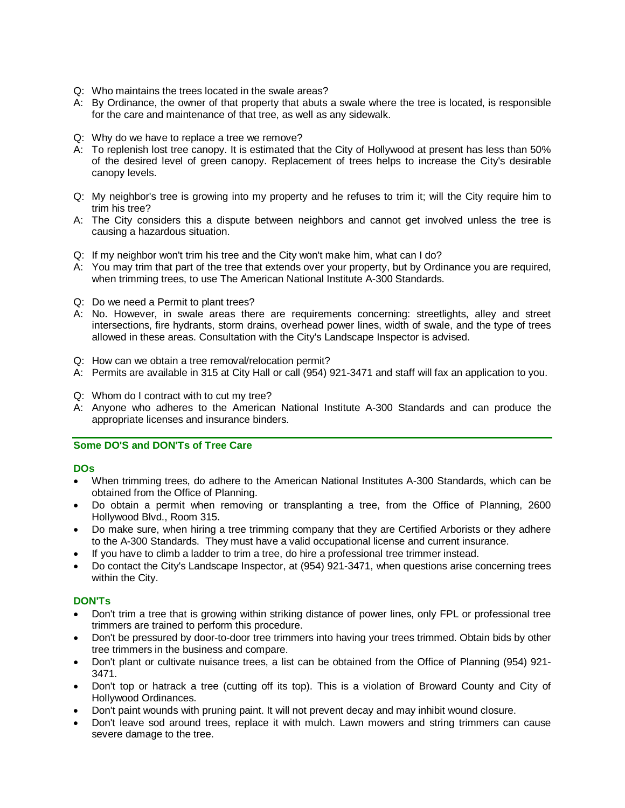- Q: Who maintains the trees located in the swale areas?
- A: By Ordinance, the owner of that property that abuts a swale where the tree is located, is responsible for the care and maintenance of that tree, as well as any sidewalk.
- Q: Why do we have to replace a tree we remove?
- A: To replenish lost tree canopy. It is estimated that the City of Hollywood at present has less than 50% of the desired level of green canopy. Replacement of trees helps to increase the City's desirable canopy levels.
- Q: My neighbor's tree is growing into my property and he refuses to trim it; will the City require him to trim his tree?
- A: The City considers this a dispute between neighbors and cannot get involved unless the tree is causing a hazardous situation.
- Q: If my neighbor won't trim his tree and the City won't make him, what can I do?
- A: You may trim that part of the tree that extends over your property, but by Ordinance you are required, when trimming trees, to use The American National Institute A-300 Standards.
- Q: Do we need a Permit to plant trees?
- A: No. However, in swale areas there are requirements concerning: streetlights, alley and street intersections, fire hydrants, storm drains, overhead power lines, width of swale, and the type of trees allowed in these areas. Consultation with the City's Landscape Inspector is advised.
- Q: How can we obtain a tree removal/relocation permit?
- A: Permits are available in 315 at City Hall or call (954) 921-3471 and staff will fax an application to you.
- Q: Whom do I contract with to cut my tree?
- A: Anyone who adheres to the American National Institute A-300 Standards and can produce the appropriate licenses and insurance binders.

# **Some DO'S and DON'Ts of Tree Care**

## **DOs**

- When trimming trees, do adhere to the American National Institutes A-300 Standards, which can be obtained from the Office of Planning.
- Do obtain a permit when removing or transplanting a tree, from the Office of Planning, 2600 Hollywood Blvd., Room 315.
- Do make sure, when hiring a tree trimming company that they are Certified Arborists or they adhere to the A-300 Standards. They must have a valid occupational license and current insurance.
- If you have to climb a ladder to trim a tree, do hire a professional tree trimmer instead.
- Do contact the City's Landscape Inspector, at (954) 921-3471, when questions arise concerning trees within the City.

# **DON'Ts**

- Don't trim a tree that is growing within striking distance of power lines, only FPL or professional tree trimmers are trained to perform this procedure.
- Don't be pressured by door-to-door tree trimmers into having your trees trimmed. Obtain bids by other tree trimmers in the business and compare.
- Don't plant or cultivate nuisance trees, a list can be obtained from the Office of Planning (954) 921- 3471.
- Don't top or hatrack a tree (cutting off its top). This is a violation of Broward County and City of Hollywood Ordinances.
- Don't paint wounds with pruning paint. It will not prevent decay and may inhibit wound closure.
- Don't leave sod around trees, replace it with mulch. Lawn mowers and string trimmers can cause severe damage to the tree.